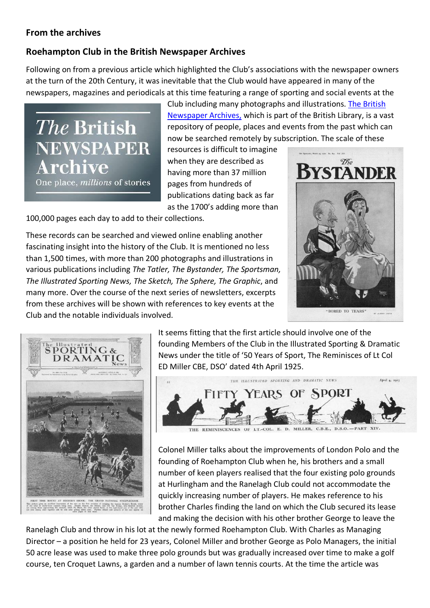## **From the archives**

## **Roehampton Club in the British Newspaper Archives**

Following on from a previous article which highlighted the Club's associations with the newspaper owners at the turn of the 20th Century, it was inevitable that the Club would have appeared in many of the newspapers, magazines and periodicals at this time featuring a range of sporting and social events at the

The British **NEWSPAPER** Archive

One place, *millions* of stories

Club including many photographs and illustrations. [The British](https://www.britishnewspaperarchive.co.uk/)  [Newspaper Archives,](https://www.britishnewspaperarchive.co.uk/) which is part of the British Library, is a vast repository of people, places and events from the past which can now be searched remotely by subscription. The scale of these

resources is difficult to imagine when they are described as having more than 37 million pages from hundreds of publications dating back as far as the 1700's adding more than

100,000 pages each day to add to their collections.

These records can be searched and viewed online enabling another fascinating insight into the history of the Club. It is mentioned no less than 1,500 times, with more than 200 photographs and illustrations in various publications including *The Tatler, The Bystander, The Sportsman, The Illustrated Sporting News, The Sketch, The Sphere, The Graphic*, and many more. Over the course of the next series of newsletters, excerpts from these archives will be shown with references to key events at the Club and the notable individuals involved.





It seems fitting that the first article should involve one of the founding Members of the Club in the Illustrated Sporting & Dramatic News under the title of '50 Years of Sport, The Reminisces of Lt Col ED Miller CBE, DSO' dated 4th April 1925.



Colonel Miller talks about the improvements of London Polo and the founding of Roehampton Club when he, his brothers and a small number of keen players realised that the four existing polo grounds at Hurlingham and the Ranelagh Club could not accommodate the quickly increasing number of players. He makes reference to his brother Charles finding the land on which the Club secured its lease and making the decision with his other brother George to leave the

Ranelagh Club and throw in his lot at the newly formed Roehampton Club. With Charles as Managing Director – a position he held for 23 years, Colonel Miller and brother George as Polo Managers, the initial 50 acre lease was used to make three polo grounds but was gradually increased over time to make a golf course, ten Croquet Lawns, a garden and a number of lawn tennis courts. At the time the article was